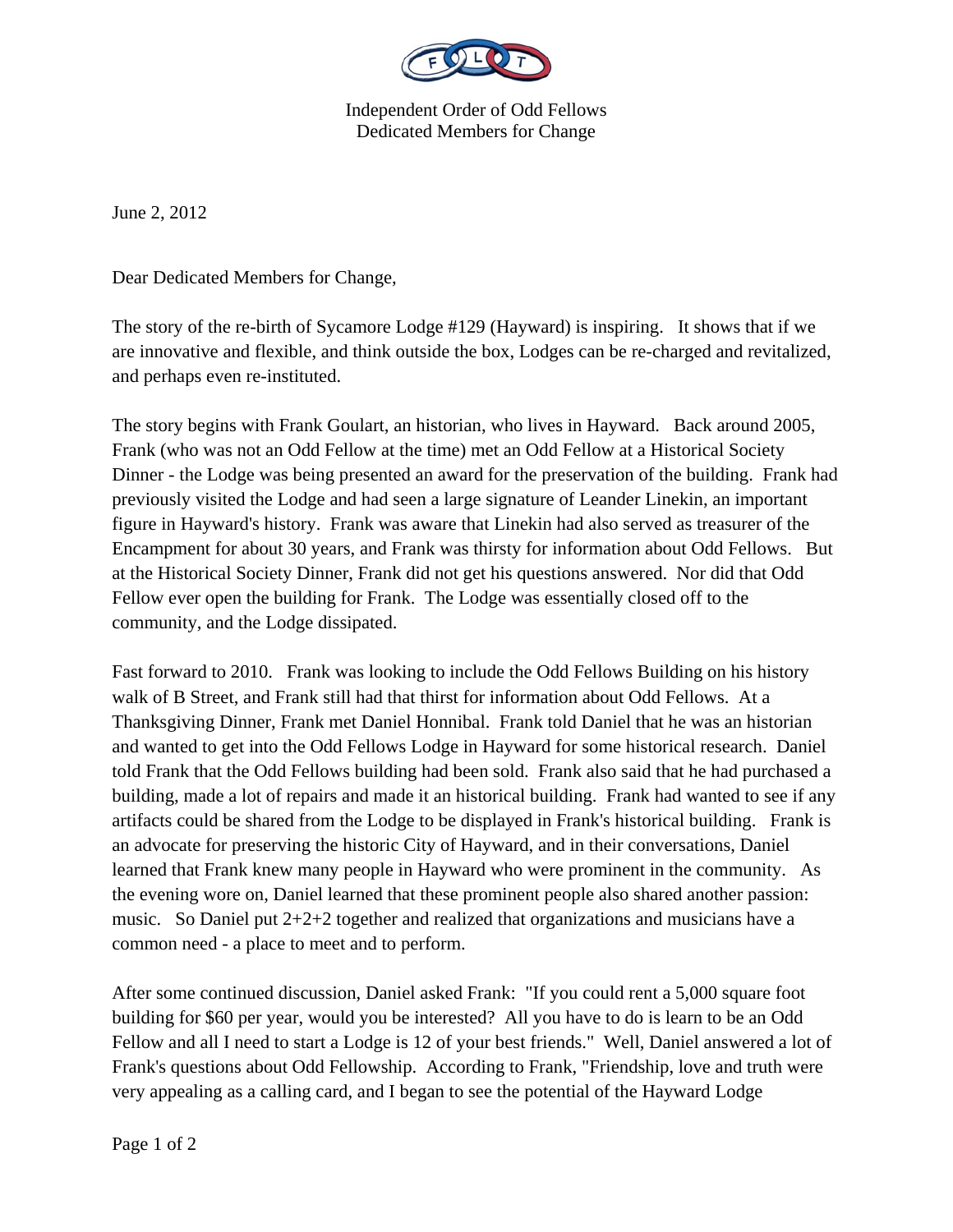

Independent Order of Odd Fellows Dedicated Members for Change

June 2, 2012

Dear Dedicated Members for Change,

The story of the re-birth of Sycamore Lodge #129 (Hayward) is inspiring. It shows that if we are innovative and flexible, and think outside the box, Lodges can be re-charged and revitalized, and perhaps even re-instituted.

The story begins with Frank Goulart, an historian, who lives in Hayward. Back around 2005, Frank (who was not an Odd Fellow at the time) met an Odd Fellow at a Historical Society Dinner - the Lodge was being presented an award for the preservation of the building. Frank had previously visited the Lodge and had seen a large signature of Leander Linekin, an important figure in Hayward's history. Frank was aware that Linekin had also served as treasurer of the Encampment for about 30 years, and Frank was thirsty for information about Odd Fellows. But at the Historical Society Dinner, Frank did not get his questions answered. Nor did that Odd Fellow ever open the building for Frank. The Lodge was essentially closed off to the community, and the Lodge dissipated.

Fast forward to 2010. Frank was looking to include the Odd Fellows Building on his history walk of B Street, and Frank still had that thirst for information about Odd Fellows. At a Thanksgiving Dinner, Frank met Daniel Honnibal. Frank told Daniel that he was an historian and wanted to get into the Odd Fellows Lodge in Hayward for some historical research. Daniel told Frank that the Odd Fellows building had been sold. Frank also said that he had purchased a building, made a lot of repairs and made it an historical building. Frank had wanted to see if any artifacts could be shared from the Lodge to be displayed in Frank's historical building. Frank is an advocate for preserving the historic City of Hayward, and in their conversations, Daniel learned that Frank knew many people in Hayward who were prominent in the community. As the evening wore on, Daniel learned that these prominent people also shared another passion: music. So Daniel put 2+2+2 together and realized that organizations and musicians have a common need - a place to meet and to perform.

After some continued discussion, Daniel asked Frank: "If you could rent a 5,000 square foot building for \$60 per year, would you be interested? All you have to do is learn to be an Odd Fellow and all I need to start a Lodge is 12 of your best friends." Well, Daniel answered a lot of Frank's questions about Odd Fellowship. According to Frank, "Friendship, love and truth were very appealing as a calling card, and I began to see the potential of the Hayward Lodge